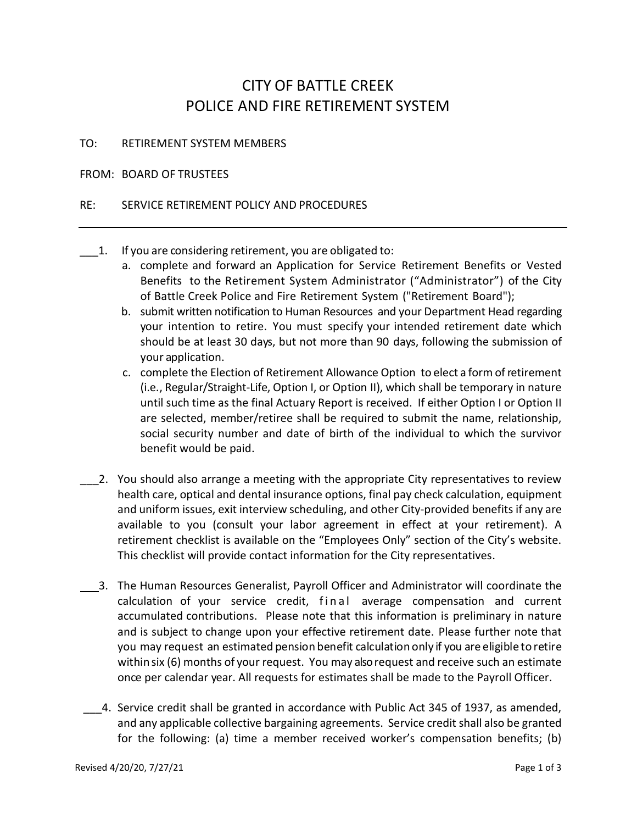## CITY OF BATTLE CREEK POLICE AND FIRE RETIREMENT SYSTEM

## TO: RETIREMENT SYSTEM MEMBERS

## FROM: BOARD OF TRUSTEES

## RE: SERVICE RETIREMENT POLICY AND PROCEDURES

- 1. If you are considering retirement, you are obligated to:
	- a. complete and forward an Application for Service Retirement Benefits or Vested Benefits to the Retirement System Administrator ("Administrator") of the City of Battle Creek Police and Fire Retirement System ("Retirement Board");
	- b. submit written notification to Human Resources and your Department Head regarding your intention to retire. You must specify your intended retirement date which should be at least 30 days, but not more than 90 days, following the submission of your application.
	- c. complete the Election of Retirement Allowance Option to elect a form ofretirement (i.e., Regular/Straight-Life, Option I, or Option II), which shall be temporary in nature until such time as the final Actuary Report is received. If either Option I or Option II are selected, member/retiree shall be required to submit the name, relationship, social security number and date of birth of the individual to which the survivor benefit would be paid.
	- 2. You should also arrange a meeting with the appropriate City representatives to review health care, optical and dental insurance options, final pay check calculation, equipment and uniform issues, exit interview scheduling, and other City-provided benefits if any are available to you (consult your labor agreement in effect at your retirement). A retirement checklist is available on the "Employees Only" section of the City's website. This checklist will provide contact information for the City representatives.
- 3. The Human Resources Generalist, Payroll Officer and Administrator will coordinate the calculation of your service credit, final average compensation and current accumulated contributions. Please note that this information is preliminary in nature and is subject to change upon your effective retirement date. Please further note that you may request an estimated pension benefit calculation only if you are eligible to retire withinsix (6) months of your request. You may also request and receive such an estimate once per calendar year. All requests for estimates shall be made to the Payroll Officer.
- \_\_\_4. Service credit shall be granted in accordance with Public Act 345 of 1937, as amended, and any applicable collective bargaining agreements. Service credit shall also be granted for the following: (a) time a member received worker's compensation benefits; (b)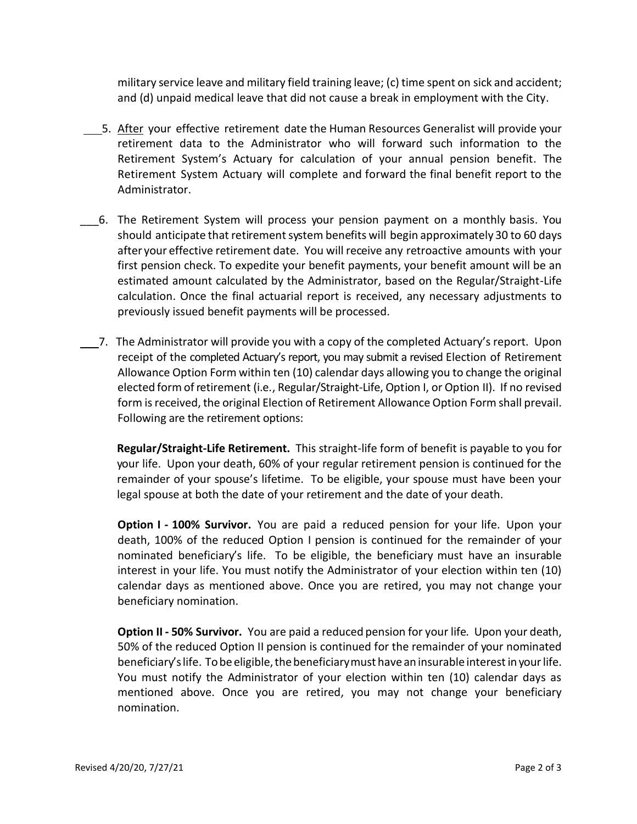military service leave and military field training leave; (c) time spent on sick and accident; and (d) unpaid medical leave that did not cause a break in employment with the City.

- 5. After your effective retirement date the Human Resources Generalist will provide your retirement data to the Administrator who will forward such information to the Retirement System's Actuary for calculation of your annual pension benefit. The Retirement System Actuary will complete and forward the final benefit report to the Administrator.
- \_\_\_6. The Retirement System will process your pension payment on a monthly basis. You should anticipate that retirement system benefits will begin approximately 30 to 60 days after your effective retirement date. You will receive any retroactive amounts with your first pension check. To expedite your benefit payments, your benefit amount will be an estimated amount calculated by the Administrator, based on the Regular/Straight-Life calculation. Once the final actuarial report is received, any necessary adjustments to previously issued benefit payments will be processed.
- 7. The Administrator will provide you with a copy of the completed Actuary's report. Upon receipt of the completed Actuary's report, you may submit a revised Election of Retirement Allowance Option Form within ten (10) calendar days allowing you to change the original elected formofretirement (i.e., Regular/Straight-Life, Option I, or Option II). If no revised form is received, the original Election of Retirement Allowance Option Form shall prevail. Following are the retirement options:

**Regular/Straight-Life Retirement.** This straight-life form of benefit is payable to you for your life. Upon your death, 60% of your regular retirement pension is continued for the remainder of your spouse's lifetime. To be eligible, your spouse must have been your legal spouse at both the date of your retirement and the date of your death.

**Option I - 100% Survivor.** You are paid a reduced pension for your life. Upon your death, 100% of the reduced Option I pension is continued for the remainder of your nominated beneficiary's life. To be eligible, the beneficiary must have an insurable interest in your life. You must notify the Administrator of your election within ten (10) calendar days as mentioned above. Once you are retired, you may not change your beneficiary nomination.

**Option II - 50% Survivor.** You are paid a reduced pension for your life. Upon your death, 50% of the reduced Option II pension is continued for the remainder of your nominated beneficiary's life. To be eligible, the beneficiary must have an insurable interest in your life. You must notify the Administrator of your election within ten (10) calendar days as mentioned above. Once you are retired, you may not change your beneficiary nomination.